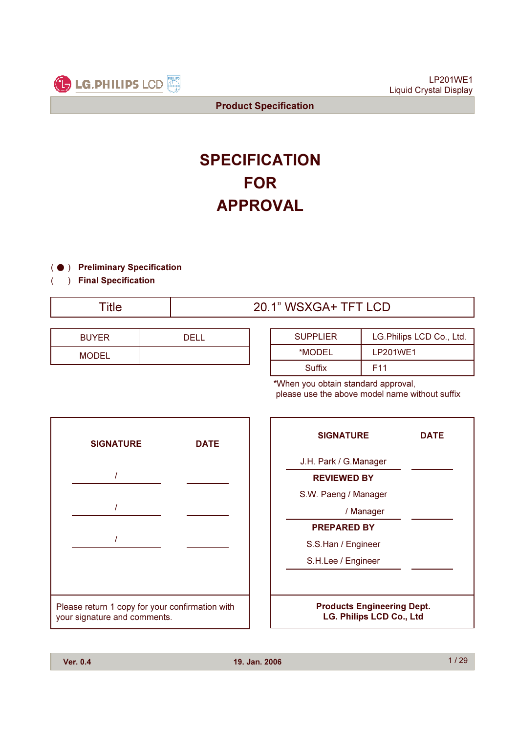

# **SPECIFICATION** FOR APPROVAL

- (  $\bullet$  ) Preliminary Specification
	- ) Final Specification

(

# Title 20.1" WSXGA+ TFT LCD

| <b>BUYER</b> | DEL I |
|--------------|-------|
| <b>MODEL</b> |       |

| <b>SUPPLIER</b> | LG.Philips LCD Co., Ltd. |
|-----------------|--------------------------|
| *MODEL          | LP201WE1                 |
| Suffix          | F11                      |

\*When you obtain standard approval, please use the above model name without suffix



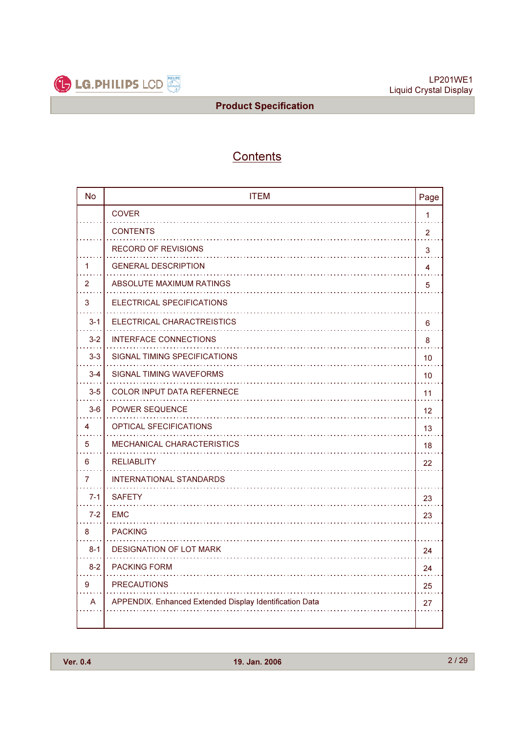

# **Contents**

| <b>No</b>      | <b>ITEM</b>                                             | Page           |
|----------------|---------------------------------------------------------|----------------|
|                | <b>COVER</b>                                            | $\mathbf{1}$   |
|                | <b>CONTENTS</b>                                         | $\overline{2}$ |
|                | <b>RECORD OF REVISIONS</b>                              | 3              |
| 1              | <b>GENERAL DESCRIPTION</b>                              | 4              |
| $\overline{2}$ | ABSOLUTE MAXIMUM RATINGS                                | 5              |
| 3              | ELECTRICAL SPECIFICATIONS                               |                |
| $3 - 1$        | ELECTRICAL CHARACTREISTICS                              | 6              |
| $3 - 2$        | INTERFACE CONNECTIONS                                   | 8              |
| $3-3$          | SIGNAL TIMING SPECIFICATIONS                            | 10             |
| $3 - 4$        | SIGNAL TIMING WAVEFORMS                                 | 10             |
| $3-5$          | <b>COLOR INPUT DATA REFERNECE</b>                       | 11             |
| $3-6$          | <b>POWER SEQUENCE</b>                                   | 12             |
| 4              | <b>OPTICAL SFECIFICATIONS</b>                           | 13             |
| 5              | <b>MECHANICAL CHARACTERISTICS</b>                       | 18             |
| 6              | <b>RELIABLITY</b>                                       | 22             |
| 7              | <b>INTERNATIONAL STANDARDS</b>                          |                |
| $7 - 1$        | <b>SAFETY</b>                                           | 23             |
| $7 - 2$        | <b>EMC</b>                                              | 23             |
| 8              | <b>PACKING</b>                                          |                |
| $8 - 1$        | <b>DESIGNATION OF LOT MARK</b>                          | 24             |
| $8 - 2$        | <b>PACKING FORM</b>                                     | 24             |
| 9              | <b>PRECAUTIONS</b>                                      | 25             |
| A              | APPENDIX. Enhanced Extended Display Identification Data | 27             |
|                |                                                         |                |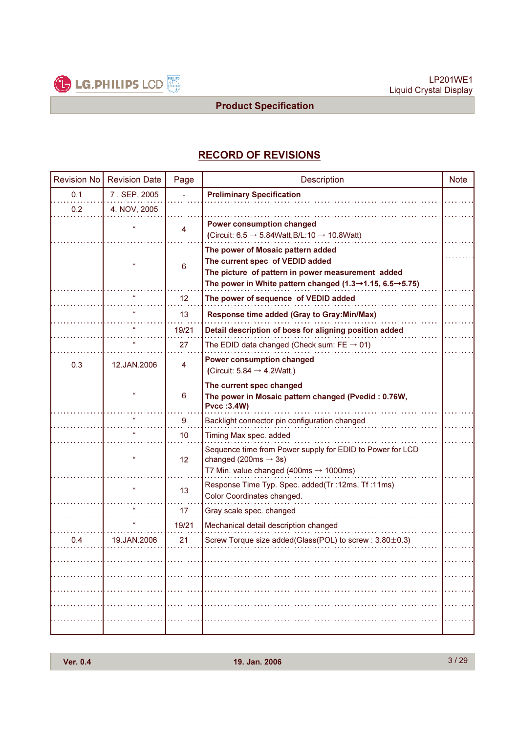

# RECORD OF REVISIONS

| <b>Revision No</b> | <b>Revision Date</b> | Page            | Description                                                                                                                                                                                                    | <b>Note</b> |
|--------------------|----------------------|-----------------|----------------------------------------------------------------------------------------------------------------------------------------------------------------------------------------------------------------|-------------|
| 0.1                | 7. SEP, 2005         |                 | <b>Preliminary Specification</b>                                                                                                                                                                               |             |
| 0.2                | 4. NOV, 2005         |                 |                                                                                                                                                                                                                |             |
|                    |                      | 4               | Power consumption changed<br>(Circuit: $6.5 \rightarrow 5.84Watt, B/L: 10 \rightarrow 10.8Watt$ )                                                                                                              |             |
|                    | $\alpha$             | 6               | The power of Mosaic pattern added<br>The current spec of VEDID added<br>The picture of pattern in power measurement added<br>The power in White pattern changed $(1.3 \rightarrow 1.15, 6.5 \rightarrow 5.75)$ |             |
|                    |                      | 12              | The power of sequence of VEDID added                                                                                                                                                                           |             |
|                    |                      | 13              | Response time added (Gray to Gray: Min/Max)                                                                                                                                                                    |             |
|                    |                      | 19/21           | Detail description of boss for aligning position added                                                                                                                                                         |             |
|                    |                      | 27              | The EDID data changed (Check sum: $FE \rightarrow 01$ )                                                                                                                                                        |             |
| 0.3                | 12.JAN.2006          | 4               | <b>Power consumption changed</b><br>(Circuit: $5.84 \rightarrow 4.2Watt$ .)                                                                                                                                    |             |
|                    | $\alpha$             | 6               | The current spec changed<br>The power in Mosaic pattern changed (Pvedid: 0.76W,<br><b>Pvcc:3.4W)</b>                                                                                                           |             |
|                    |                      | 9               | Backlight connector pin configuration changed                                                                                                                                                                  |             |
|                    |                      | 10              | Timing Max spec. added                                                                                                                                                                                         |             |
|                    | $\alpha$             | 12 <sup>2</sup> | Sequence time from Power supply for EDID to Power for LCD<br>changed (200ms $\rightarrow$ 3s)<br>T7 Min. value changed (400ms $\rightarrow$ 1000ms)                                                            |             |
|                    | $\alpha$             | 13              | Response Time Typ. Spec. added(Tr: 12ms, Tf: 11ms)<br>Color Coordinates changed.                                                                                                                               |             |
|                    |                      | 17              | Gray scale spec. changed                                                                                                                                                                                       |             |
|                    |                      | 19/21           | Mechanical detail description changed                                                                                                                                                                          |             |
| 0.4                | 19.JAN.2006          | 21              | Screw Torque size added(Glass(POL) to screw : 3.80±0.3)                                                                                                                                                        |             |
|                    |                      |                 |                                                                                                                                                                                                                | .           |
|                    |                      |                 |                                                                                                                                                                                                                |             |
|                    |                      |                 |                                                                                                                                                                                                                | .           |
|                    |                      |                 |                                                                                                                                                                                                                |             |
|                    |                      |                 |                                                                                                                                                                                                                | .           |
|                    |                      |                 |                                                                                                                                                                                                                |             |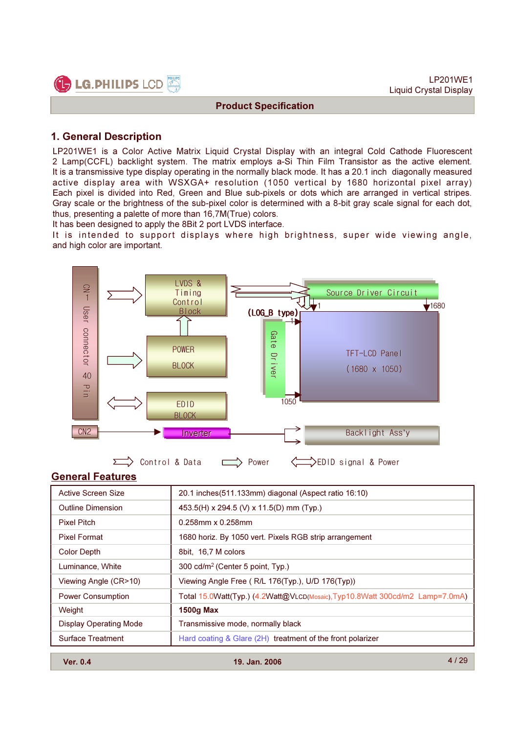



#### 1. General Description

LP201WE1 is a Color Active Matrix Liquid Crystal Display with an integral Cold Cathode Fluorescent 2 Lamp(CCFL) backlight system. The matrix employs a-Si Thin Film Transistor as the active element. It is a transmissive type display operating in the normally black mode. It has a 20.1 inch diagonally measured active display area with WSXGA+ resolution (1050 vertical by 1680 horizontal pixel array) Each pixel is divided into Red, Green and Blue sub-pixels or dots which are arranged in vertical stripes. Gray scale or the brightness of the sub-pixel color is determined with a 8-bit gray scale signal for each dot, thus, presenting a palette of more than 16,7M(True) colors.

It has been designed to apply the 8Bit 2 port LVDS interface.

It is intended to support displays where high brightness, super wide viewing angle, and high color are important.



#### General Features

| <b>Active Screen Size</b>     | 20.1 inches (511.133mm) diagonal (Aspect ratio 16:10)                       |
|-------------------------------|-----------------------------------------------------------------------------|
| <b>Outline Dimension</b>      | 453.5(H) x 294.5 (V) x 11.5(D) mm (Typ.)                                    |
| <b>Pixel Pitch</b>            | $0.258$ mm x $0.258$ mm                                                     |
| <b>Pixel Format</b>           | 1680 horiz. By 1050 vert. Pixels RGB strip arrangement                      |
| Color Depth                   | 8bit, 16,7 M colors                                                         |
| Luminance, White              | 300 cd/m <sup>2</sup> (Center 5 point, Typ.)                                |
| Viewing Angle (CR>10)         | Viewing Angle Free (R/L 176(Typ.), U/D 176(Typ))                            |
| <b>Power Consumption</b>      | Total 15.0Watt(Typ.) (4.2Watt@VLCD(Mosaic),Typ10.8Watt 300cd/m2 Lamp=7.0mA) |
| Weight                        | <b>1500g Max</b>                                                            |
| <b>Display Operating Mode</b> | Transmissive mode, normally black                                           |
| <b>Surface Treatment</b>      | Hard coating & Glare (2H) treatment of the front polarizer                  |

Ver. 0.4 19. Jan. 2006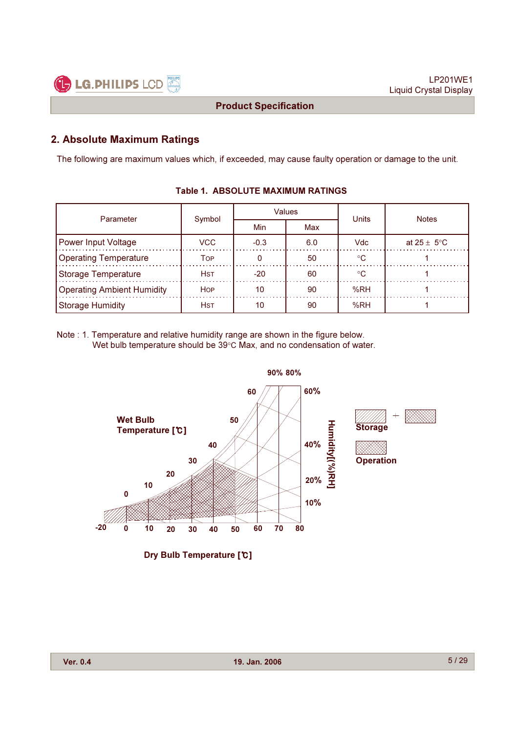

#### 2. Absolute Maximum Ratings

The following are maximum values which, if exceeded, may cause faulty operation or damage to the unit.

| Parameter                         | Symbol     |            | Values | <b>Units</b> | <b>Notes</b>            |
|-----------------------------------|------------|------------|--------|--------------|-------------------------|
|                                   |            | Min<br>Max |        |              |                         |
| <b>Power Input Voltage</b>        | VCC.       | $-0.3$     | 6.0    | <b>Vdc</b>   | at $25 \pm 5^{\circ}$ C |
| <b>Operating Temperature</b>      | Тор        |            | 50     | $^{\circ}$ C |                         |
| <b>Storage Temperature</b>        | <b>Hst</b> | $-20$      | 60     | ം            |                         |
| <b>Operating Ambient Humidity</b> | <b>HOP</b> | 10         | 90     | %RH          |                         |
| <b>Storage Humidity</b>           | <b>HST</b> | 10         | 90     | %RH          |                         |

#### Table 1. ABSOLUTE MAXIMUM RATINGS

Note : 1. Temperature and relative humidity range are shown in the figure below. Wet bulb temperature should be 39°C Max, and no condensation of water.



Dry Bulb Temperature [°C]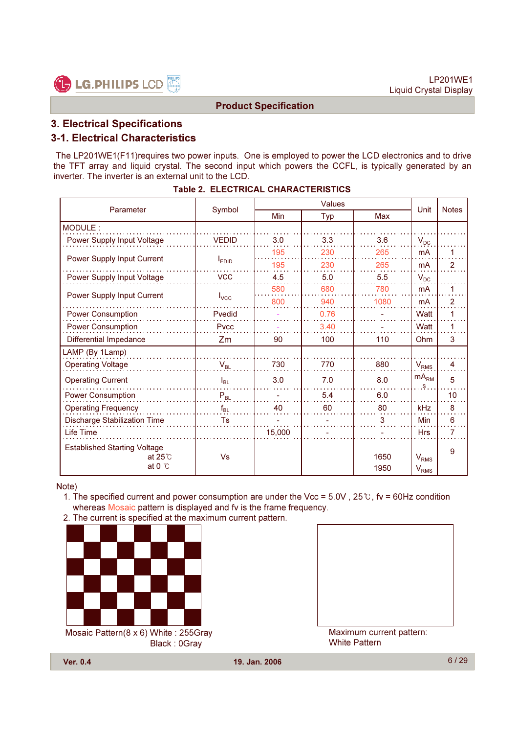

# 3. Electrical Specifications

#### 3-1. Electrical Characteristics

The LP201WE1(F11)requires two power inputs. One is employed to power the LCD electronics and to drive the TFT array and liquid crystal. The second input which powers the CCFL, is typically generated by an inverter. The inverter is an external unit to the LCD.

| Parameter                                                                  |              |        | Unit | <b>Notes</b> |                                   |                |
|----------------------------------------------------------------------------|--------------|--------|------|--------------|-----------------------------------|----------------|
|                                                                            | Symbol       | Min    | Typ  | Max          |                                   |                |
| MODULE:                                                                    |              |        |      |              |                                   |                |
| Power Supply Input Voltage                                                 | <b>VEDID</b> | 3.0    | 3.3  | 3.6          | $V_{DC}$                          |                |
| Power Supply Input Current                                                 |              | 195    | 230  | 265          | mA                                | 1              |
|                                                                            | <b>LEDID</b> | 195    | 230  | 265          | mA                                | 2              |
| Power Supply Input Voltage                                                 | <b>VCC</b>   | 4.5    | 5.0  | 5.5          | $V_{DC}$                          |                |
| Power Supply Input Current                                                 |              | 580    | 680  | 780          | <b>mA</b>                         | 1              |
|                                                                            | $I_{VCC}$    | 800    | 940  | 1080         | <b>mA</b>                         | $\overline{2}$ |
| <b>Power Consumption</b>                                                   | Pvedid       |        | 0.76 |              | Watt                              | 1              |
| <b>Power Consumption</b>                                                   | Pvcc         |        | 3.40 |              | Watt                              | 1              |
| Differential Impedance                                                     | Zm           | 90     | 100  | 110          | Ohm                               | 3              |
| LAMP (By 1Lamp)                                                            |              |        |      |              |                                   |                |
| <b>Operating Voltage</b>                                                   | $V_{BL}$     | 730    | 770  | 880          | $V_{RMS}$                         | 4              |
| <b>Operating Current</b>                                                   | $I_{BL}$     | 3.0    | 7.0  | 8.0          | mA <sub>RM</sub><br>S.            | 5              |
| <b>Power Consumption</b>                                                   | $P_{BL}$     |        | 5.4  | 6.0          |                                   | 10             |
| <b>Operating Frequency</b>                                                 | $f_{BL}$     | 40     | 60   | 80           | kHz                               | 8              |
| <b>Discharge Stabilization Time</b>                                        | Ts           |        |      | 3            | Min                               | 6              |
| Life Time                                                                  |              | 15,000 |      |              | <b>Hrs</b>                        | 7              |
| <b>Established Starting Voltage</b><br>at $25^\circ$ C<br>at $0^{\circ}$ C | Vs           |        |      | 1650<br>1950 | $\rm V_{RMS}$<br>V <sub>RMS</sub> | 9              |

|  |  | <b>Table 2. ELECTRICAL CHARACTERISTICS</b> |
|--|--|--------------------------------------------|
|--|--|--------------------------------------------|

#### Note)

- 1. The specified current and power consumption are under the Vcc =  $5.0V$ ,  $25^{\circ}$ , fv =  $60Hz$  condition whereas Mosaic pattern is displayed and fv is the frame frequency.
- 2. The current is specified at the maximum current pattern.



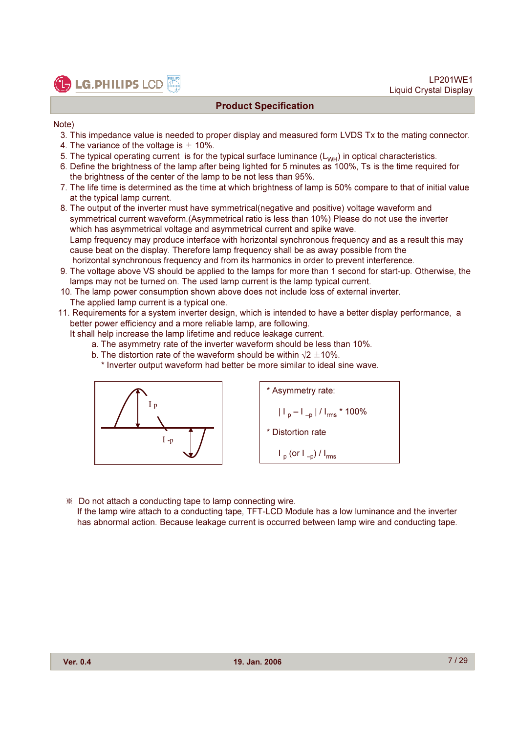**C** LG. PHILIPS LCD

Note)

- 3. This impedance value is needed to proper display and measured form LVDS Tx to the mating connector.
- 4. The variance of the voltage is  $\pm$  10%.
- 5. The typical operating current is for the typical surface luminance  $(L_{WH})$  in optical characteristics.
- 6. Define the brightness of the lamp after being lighted for 5 minutes as 100%, Ts is the time required for the brightness of the center of the lamp to be not less than 95%.
- 7. The life time is determined as the time at which brightness of lamp is 50% compare to that of initial value at the typical lamp current.
- 8. The output of the inverter must have symmetrical(negative and positive) voltage waveform and symmetrical current waveform.(Asymmetrical ratio is less than 10%) Please do not use the inverter which has asymmetrical voltage and asymmetrical current and spike wave. Lamp frequency may produce interface with horizontal synchronous frequency and as a result this may cause beat on the display. Therefore lamp frequency shall be as away possible from the horizontal synchronous frequency and from its harmonics in order to prevent interference.
- 9. The voltage above VS should be applied to the lamps for more than 1 second for start-up. Otherwise, the lamps may not be turned on. The used lamp current is the lamp typical current.
- 10. The lamp power consumption shown above does not include loss of external inverter. The applied lamp current is a typical one.
- 11. Requirements for a system inverter design, which is intended to have a better display performance, a better power efficiency and a more reliable lamp, are following.
	- It shall help increase the lamp lifetime and reduce leakage current.
		- a. The asymmetry rate of the inverter waveform should be less than 10%.
		- b. The distortion rate of the waveform should be within  $\sqrt{2} \pm 10\%$ .
			- \* Inverter output waveform had better be more similar to ideal sine wave.



\* Asymmetry rate:  $\left| \frac{1}{p} - \frac{1}{p} \right| / \left| \frac{1}{r} \right|$  \* 100% \* Distortion rate  $I_p$  (or  $I_{-p}$ ) /  $I_{rms}$ 

\$ Do not attach a conducting tape to lamp connecting wire.

If the lamp wire attach to a conducting tape, TFT-LCD Module has a low luminance and the inverter has abnormal action. Because leakage current is occurred between lamp wire and conducting tape.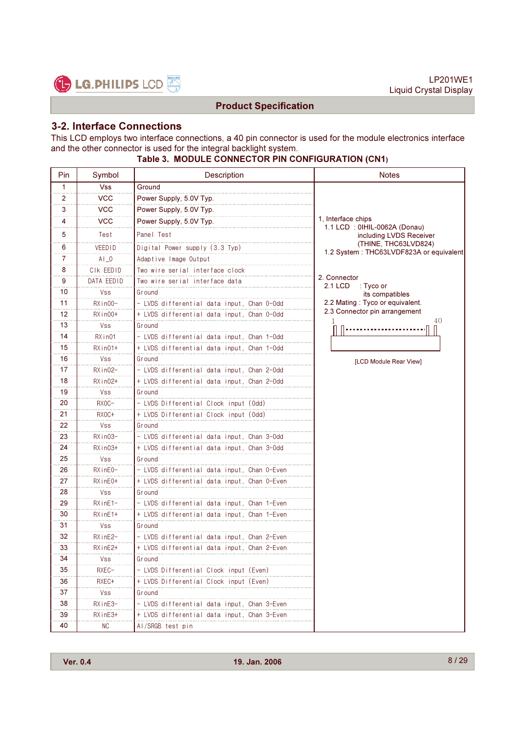

LP201WE1 Liquid Crystal Display

# Product Specification

#### 3-2. Interface Connections

This LCD employs two interface connections, a 40 pin connector is used for the module electronics interface and the other connector is used for the integral backlight system.

# Table 3. MODULE CONNECTOR PIN CONFIGURATION (CN1)

| Pin | Symbol        | Description                                 | <b>Notes</b>                                                    |
|-----|---------------|---------------------------------------------|-----------------------------------------------------------------|
| 1   | <b>Vss</b>    | Ground                                      |                                                                 |
| 2   | VCC.          | Power Supply, 5.0V Typ.                     |                                                                 |
| 3   | <b>VCC</b>    | Power Supply, 5.0V Typ.                     |                                                                 |
| 4   | <b>VCC</b>    | Power Supply, 5.0V Typ.                     | 1, Interface chips<br>1.1 LCD: 0IHIL-0062A (Donau)              |
| 5   | Test          | Panel Test                                  | including LVDS Receiver                                         |
| 6   | <b>VEEDID</b> | Digital Power supply (3.3 Typ)              | (THINE, THC63LVD824)<br>1.2 System: THC63LVDF823A or equivalent |
| 7   | $AI_0$        | Adaptive Image Output                       |                                                                 |
| 8   | CIK EEDID     | Two wire serial interface clock             |                                                                 |
| 9   | DATA EEDID    | Two wire serial interface data              | 2. Connector<br>2.1 LCD<br>∶ Tyco or                            |
| 10  | Vss           | Ground                                      | its compatibles                                                 |
| 11  | $RXin00-$     | - LVDS differential data input, Chan 0-Odd  | 2.2 Mating: Tyco or equivalent.                                 |
| 12  | $RXin00+$     | + LVDS differential data input, Chan 0-0dd  | 2.3 Connector pin arrangement<br>40                             |
| 13  | <b>Vss</b>    | Ground                                      |                                                                 |
| 14  | RXin01        | - LVDS differential data input. Chan 1-Odd  |                                                                 |
| 15  | $RXin01+$     | + LVDS differential data input, Chan 1-Odd  |                                                                 |
| 16  | <b>Vss</b>    | Ground                                      | [LCD Module Rear View]                                          |
| 17  | $RXin02-$     | - LVDS differential data input, Chan 2-Odd  |                                                                 |
| 18  | $RXin02+$     | + LVDS differential data input, Chan 2-Odd  |                                                                 |
| 19  | Vss           | Ground                                      |                                                                 |
| 20  | RXOC-         | - LVDS Differential Clock input (Odd)       |                                                                 |
| 21  | RX0C+         | + LVDS Differential Clock input (Odd)       |                                                                 |
| 22  | <b>Vss</b>    | Ground                                      |                                                                 |
| 23  | $RXin03-$     | - LVDS differential data input, Chan 3-Odd  |                                                                 |
| 24  | $RXin03+$     | + LVDS differential data input, Chan 3-Odd  |                                                                 |
| 25  | <b>Vss</b>    | Ground                                      |                                                                 |
| 26  | RXinE0-       | - LVDS differential data input, Chan 0-Even |                                                                 |
| 27  | RXinE0+       | + LVDS differential data input, Chan 0-Even |                                                                 |
| 28  | <b>Vss</b>    | Ground                                      |                                                                 |
| 29  | $RX$ in $E1-$ | - LVDS differential data input, Chan 1-Even |                                                                 |
| 30  | $RXinE1+$     | + LVDS differential data input, Chan 1-Even |                                                                 |
| 31  | <b>Vss</b>    | Ground                                      |                                                                 |
| 32  | RXinE2-       | - LVDS differential data input, Chan 2-Even |                                                                 |
| 33  | RXinE2+       | + LVDS differential data input, Chan 2-Even |                                                                 |
| 34  | Vss           | Ground                                      |                                                                 |
| 35  | RXEC-         | - LVDS Differential Clock input (Even)      |                                                                 |
| 36  | RXEC+         | + LVDS Differential Clock input (Even)      |                                                                 |
| 37  | Vss           | Ground                                      |                                                                 |
| 38  | RXinE3-       | - LVDS differential data input, Chan 3-Even |                                                                 |
| 39  | RXinE3+       | + LVDS differential data input, Chan 3-Even |                                                                 |
| 40  | NC.           | Al/SRGB test pin                            |                                                                 |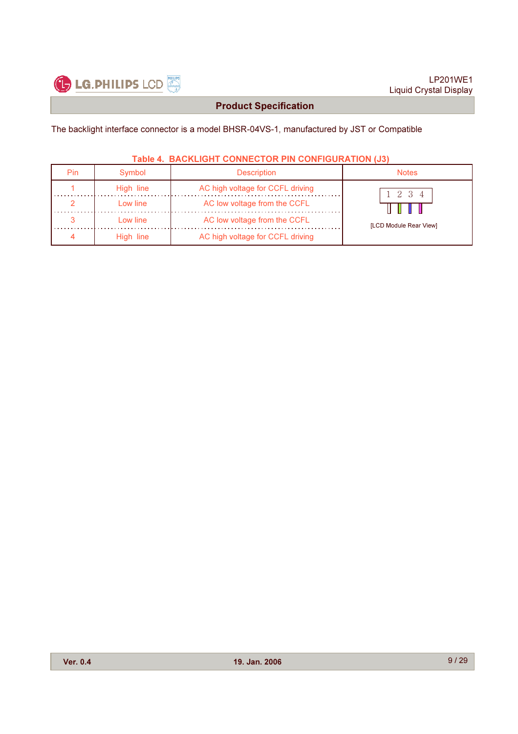

The backlight interface connector is a model BHSR-04VS-1, manufactured by JST or Compatible

#### Table 4. BACKLIGHT CONNECTOR PIN CONFIGURATION (J3)

| Pin | Symbol    | <b>Description</b>               | Notes                  |
|-----|-----------|----------------------------------|------------------------|
|     | High line | AC high voltage for CCFL driving | 2 3 4                  |
|     | Low line  | AC low voltage from the CCFL     |                        |
|     | Low line  | AC low voltage from the CCFL     | [LCD Module Rear View] |
|     | High line | AC high voltage for CCFL driving |                        |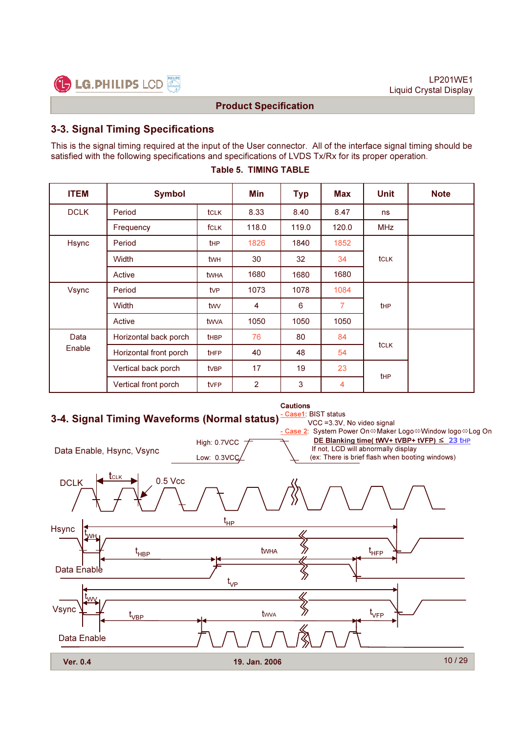

# 3-3. Signal Timing Specifications

This is the signal timing required at the input of the User connector. All of the interface signal timing should be satisfied with the following specifications and specifications of LVDS Tx/Rx for its proper operation.

| <b>ITEM</b>  | <b>Symbol</b>          |                 | Min   | <b>Typ</b> | Max                          | <b>Unit</b> | <b>Note</b> |
|--------------|------------------------|-----------------|-------|------------|------------------------------|-------------|-------------|
| <b>DCLK</b>  | Period                 | <b>tCLK</b>     | 8.33  | 8.40       | 8.47                         | ns          |             |
|              | Frequency              | <b>fCLK</b>     | 118.0 | 119.0      | 120.0                        | <b>MHz</b>  |             |
| <b>Hsync</b> | Period                 | <b>t</b> HP     | 1826  | 1840       | 1852                         |             |             |
|              | Width                  | twh             | 30    | 32         | 34                           | <b>tCLK</b> |             |
|              | Active                 | twha            | 1680  | 1680       | 1680                         |             |             |
| Vsync        | Period                 | tv <sub>P</sub> | 1073  | 1078       | 1084                         |             |             |
|              | <b>Width</b>           | twy             | 4     | 6          | $\overline{7}$<br><b>tHP</b> |             |             |
|              | Active                 | twya            | 1050  | 1050       | 1050                         |             |             |
| Data         | Horizontal back porch  | <b>tHBP</b>     | 76    | 80         | 84                           |             |             |
| Enable       | Horizontal front porch | <b>tHFP</b>     | 40    | 48         | 54                           | tclk        |             |
|              | Vertical back porch    | <b>t</b> VBP    | 17    | 19         | 23                           | <b>tHP</b>  |             |
|              | Vertical front porch   | <b>t</b> VFP    | 2     | 3          | 4                            |             |             |

#### Table 5. TIMING TABLE

# 3-4. Signal Timing Waveforms (Normal status)



Cautions

Case1: BIST status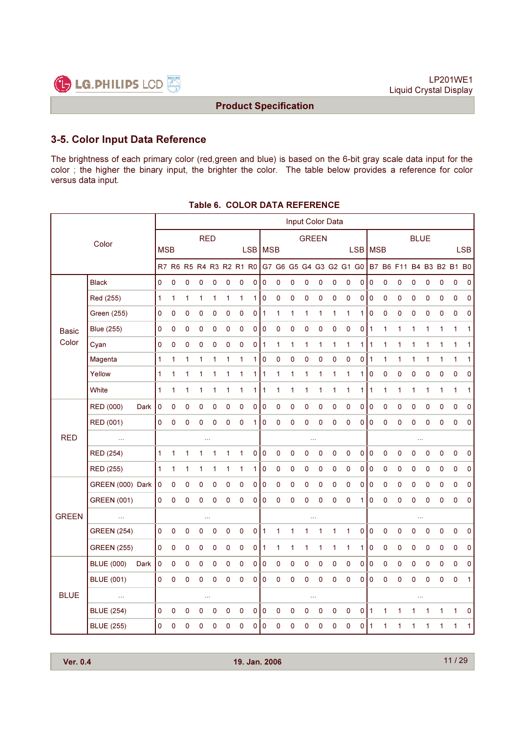

# 3-5. Color Input Data Reference

The brightness of each primary color (red,green and blue) is based on the 6-bit gray scale data input for the color ; the higher the binary input, the brighter the color. The table below provides a reference for color versus data input.

|              |                    |      |            |   |   |              |   |              |   |              |           |                                                 |             | Input Color Data |             |              |           |             |                |   |                          |              |             |              |              |              |
|--------------|--------------------|------|------------|---|---|--------------|---|--------------|---|--------------|-----------|-------------------------------------------------|-------------|------------------|-------------|--------------|-----------|-------------|----------------|---|--------------------------|--------------|-------------|--------------|--------------|--------------|
| Color        |                    |      |            |   |   | <b>RED</b>   |   |              |   |              |           | <b>GREEN</b>                                    |             |                  |             |              |           | <b>BLUE</b> |                |   |                          |              |             |              |              |              |
|              |                    |      | <b>MSB</b> |   |   |              |   | LSB   MSB    |   |              |           |                                                 |             |                  | <b>LSB</b>  | <b>MSB</b>   |           |             |                |   |                          |              | <b>LSB</b>  |              |              |              |
|              |                    |      |            |   |   |              |   |              |   |              |           | R7 R6 R5 R4 R3 R2 R1 R0 G7 G6 G5 G4 G3 G2 G1 G0 |             |                  |             |              |           |             |                |   | B7 B6 F11 B4 B3 B2 B1 B0 |              |             |              |              |              |
|              | <b>Black</b>       |      | 0          | 0 | 0 | 0            | 0 | 0            | 0 | 0            | 0         | 0                                               | $\mathbf 0$ | 0                | $\mathbf 0$ | 0            | 0         | 0           | $\mathbf 0$    | 0 | $\pmb{0}$                | 0            | 0           | 0            | $\mathbf 0$  | 0            |
|              | Red (255)          |      | 1          | 1 | 1 | 1            | 1 | $\mathbf{1}$ | 1 | 1            | 0         | 0                                               | 0           | 0                | $\mathbf 0$ | 0            | 0         | 0           | $\pmb{0}$      | 0 | $\pmb{0}$                | 0            | 0           | 0            | $\mathbf 0$  | 0            |
|              | <b>Green (255)</b> |      | 0          | 0 | 0 | 0            | 0 | 0            | 0 | 0            | 1         | 1                                               | 1           | 1                | 1           | 1            | 1         | 1           | $\mathbf 0$    | 0 | 0                        | 0            | 0           | 0            | 0            | 0            |
| <b>Basic</b> | <b>Blue (255)</b>  |      | 0          | 0 | 0 | 0            | 0 | 0            | 0 | 0            | 0         | 0                                               | 0           | 0                | 0           | 0            | 0         | 0           | $\mathbf{1}$   | 1 | 1                        | 1            | 1           | 1            | $\mathbf{1}$ | $\mathbf{1}$ |
| Color        | Cyan               |      | 0          | 0 | 0 | 0            | 0 | 0            | 0 | 0            | $\vert$ 1 | 1                                               | 1           | 1                | 1           | 1            | 1         | 1           | $\overline{1}$ | 1 | 1                        | 1            | 1           | 1            | $\mathbf{1}$ | $\mathbf{1}$ |
|              | Magenta            |      | 1          | 1 | 1 | 1            | 1 | 1            | 1 | 1            | 0         | 0                                               | 0           | 0                | 0           | 0            | 0         | 0           | $\mathbf{1}$   | 1 | 1                        | 1            | 1           | 1            | 1            | 1            |
|              | Yellow             |      | 1          | 1 | 1 | 1            | 1 | 1            | 1 | 1            | 1         | 1                                               | 1           | 1                | 1           | 1            | 1         | 1           | 0              | 0 | 0                        | 0            | 0           | 0            | 0            | 0            |
|              | White              |      | 1          | 1 | 1 | $\mathbf{1}$ | 1 | 1            | 1 | 1            | 1         | 1                                               | 1           | 1                | 1           | $\mathbf{1}$ | 1         | 1           | 1              | 1 | 1                        | 1            | 1           | $\mathbf{1}$ | $\mathbf{1}$ | $\mathbf{1}$ |
|              | RED (000)          | Dark | 0          | 0 | 0 | 0            | 0 | 0            | 0 | 0            | 0         | 0                                               | $\pmb{0}$   | 0                | $\pmb{0}$   | 0            | 0         | 0           | $\pmb{0}$      | 0 | $\pmb{0}$                | 0            | 0           | 0            | $\pmb{0}$    | 0            |
|              | RED (001)          |      | 0          | 0 | 0 | 0            | 0 | 0            | 0 | $\mathbf{1}$ | 0         | 0                                               | $\mathbf 0$ | 0                | $\mathbf 0$ | 0            | $\pmb{0}$ | 0           | $\mathbf 0$    | 0 | $\pmb{0}$                | 0            | $\mathbf 0$ | 0            | $\mathbf 0$  | $\mathbf 0$  |
| <b>RED</b>   | $\ldots$           |      |            |   |   |              |   |              |   |              |           | $\cdots$<br>$\cdots$                            |             |                  |             |              |           |             |                |   |                          |              |             |              |              |              |
|              | <b>RED (254)</b>   |      | 1          | 1 | 1 | 1            | 1 | 1            | 1 | 0            | 0         | 0                                               | 0           | 0                | 0           | 0            | 0         | 0           | $\pmb{0}$      | 0 | 0                        | 0            | 0           | 0            | 0            | 0            |
|              | RED (255)          |      | 1          | 1 | 1 | 1            | 1 | 1            | 1 | 1            | 0         | 0                                               | 0           | 0                | 0           | 0            | 0         | 0           | $\mathbf 0$    | 0 | 0                        | 0            | 0           | 0            | $\mathbf 0$  | 0            |
|              | GREEN (000) Dark   |      | $\pmb{0}$  | 0 | 0 | 0            | 0 | 0            | 0 | 0            | 0         | 0                                               | 0           | 0                | $\mathbf 0$ | 0            | 0         | 0           | $\pmb{0}$      | 0 | 0                        | 0            | 0           | 0            | $\mathbf 0$  | 0            |
|              | <b>GREEN (001)</b> |      | 0          | 0 | 0 | 0            | 0 | 0            | 0 | 0            | 0         | 0                                               | 0           | 0                | 0           | 0            | $\pmb{0}$ | 1           | $\pmb{0}$      | 0 | 0                        | 0            | 0           | 0            | 0            | 0            |
| <b>GREEN</b> | $\ldots$           |      |            |   |   | $\cdots$     |   |              |   |              |           |                                                 |             |                  |             |              |           |             |                |   |                          | $\cdots$     |             |              |              |              |
|              | <b>GREEN (254)</b> |      | 0          | 0 | 0 | 0            | 0 | 0            | 0 | 0            | 1         | 1                                               | 1           | 1                | 1           | 1            | 1         | 0           | 0              | 0 | 0                        | 0            | 0           | 0            | 0            | 0            |
|              | <b>GREEN (255)</b> |      | 0          | 0 | 0 | 0            | 0 | 0            | 0 | 0            | 1         | 1                                               | 1           | 1                | 1           | 1            | 1         | 1           | 0              | 0 | 0                        | 0            | 0           | 0            | 0            | 0            |
|              | <b>BLUE (000)</b>  | Dark | 0          | 0 | 0 | 0            | 0 | 0            | 0 | 0            | 0         | 0                                               | 0           | 0                | 0           | 0            | 0         | 0           | $\pmb{0}$      | 0 | 0                        | 0            | 0           | 0            | $\mathbf 0$  | 0            |
|              | <b>BLUE (001)</b>  |      | 0          | 0 | 0 | 0            | 0 | 0            | 0 | 0            | 0         | 0                                               | 0           | 0                | 0           | 0            | 0         | 0           | 0              | 0 | 0                        | 0            | $\mathbf 0$ | 0            | 0            | $\mathbf{1}$ |
| <b>BLUE</b>  | $\ldots$           |      |            |   |   | $\cdots$     |   |              |   |              |           |                                                 |             |                  | $\ldots$    |              |           |             |                |   |                          | 44           |             |              |              |              |
|              | <b>BLUE (254)</b>  |      | 0          | 0 | 0 | 0            | 0 | 0            | 0 | 0            | 0         | 0                                               | 0           | 0                | $\mathbf 0$ | 0            | $\pmb{0}$ | 0           | $\mathbf{1}$   | 1 | 1                        | $\mathbf{1}$ | 1           | 1            | $\mathbf{1}$ | 0            |
|              | <b>BLUE (255)</b>  |      | 0          | 0 | 0 | 0            | 0 | 0            | 0 | 0            | 0         | 0                                               | 0           | 0                | 0           | 0            | 0         | 0           | $\mathbf 1$    | 1 |                          | 1            | 1           |              | 1            | 1            |

#### Table 6. COLOR DATA REFERENCE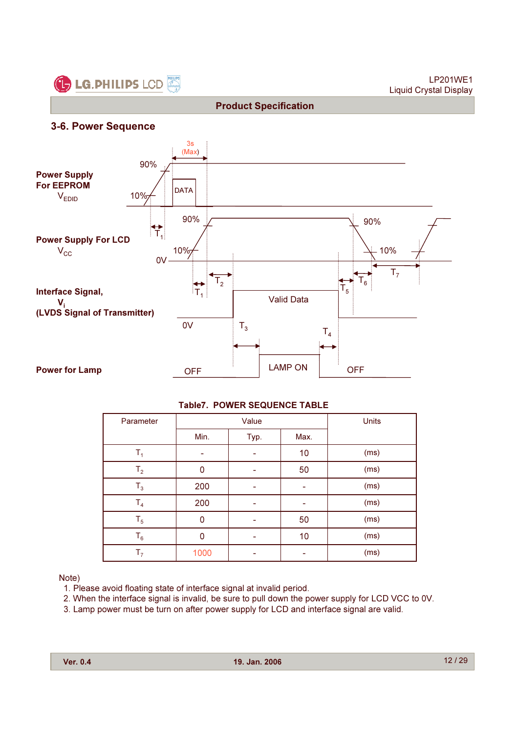

LP201WE1 Liquid Crystal Display

#### 3-6. Power Sequence



Product Specification

#### Table7. POWER SEQUENCE TABLE

| Parameter      |      | Value | Units |      |
|----------------|------|-------|-------|------|
|                | Min. | Typ.  | Max.  |      |
| $\mathsf{T}_4$ |      |       | 10    | (ms) |
| T <sub>2</sub> | 0    |       | 50    | (ms) |
| $T_3$          | 200  |       |       | (ms) |
| T <sub>4</sub> | 200  | -     |       | (ms) |
| $T_5$          | 0    |       | 50    | (ms) |
| $T_6$          | 0    |       | 10    | (ms) |
| T <sub>7</sub> | 1000 |       |       | (ms) |

Note)

- 1. Please avoid floating state of interface signal at invalid period.
- 2. When the interface signal is invalid, be sure to pull down the power supply for LCD VCC to 0V.
- 3. Lamp power must be turn on after power supply for LCD and interface signal are valid.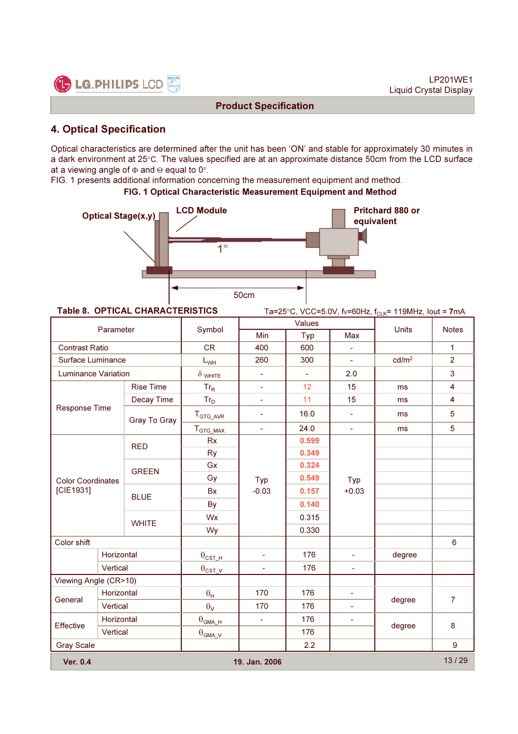

# 4. Optical Specification

Optical characteristics are determined after the unit has been 'ON' and stable for approximately 30 minutes in a dark environment at 25°C. The values specified are at an approximate distance 50cm from the LCD surface at a viewing angle of Φ and Θ equal to 0°.

FIG. 1 presents additional information concerning the measurement equipment and method.

#### FIG. 1 Optical Characteristic Measurement Equipment and Method



**Table 8. OPTICAL CHARACTERISTICS** Ta=25°C, VCC=5.0V, fv=60Hz, f<sub>CLK</sub>= 119MHz, lout = 7mA

|                                  | Parameter                |                  | Symbol                            |                | Values |                | <b>Units</b>      | <b>Notes</b>     |
|----------------------------------|--------------------------|------------------|-----------------------------------|----------------|--------|----------------|-------------------|------------------|
|                                  |                          |                  |                                   | Min            | Typ    | Max            |                   |                  |
|                                  | <b>Contrast Ratio</b>    |                  | <b>CR</b>                         | 400            | 600    | $\blacksquare$ |                   | $\mathbf{1}$     |
| <b>Surface Luminance</b>         |                          |                  | $L_{WH}$                          | 260            | 300    |                | cd/m <sup>2</sup> | $\overline{2}$   |
| Luminance Variation              |                          |                  | $\delta$ white                    | ÷.             | L.     | 2.0            |                   | $\mathbf{3}$     |
|                                  |                          | <b>Rise Time</b> | $Tr_R$                            | ÷.             | 12     | 15             | ms                | $\overline{4}$   |
|                                  |                          | Decay Time       | $Tr_D$                            | ÷              | 11     | 15             | ms                | 4                |
| Response Time                    |                          | Gray To Gray     | ${\mathsf T}_{\mathsf{GTG\_AVR}}$ | ÷              | 16.0   | $\blacksquare$ | ms                | 5                |
|                                  |                          |                  | $T_{GTG\_MAX}$                    | L.             | 24.0   | ÷.             | ms                | 5                |
|                                  |                          | <b>RED</b>       | <b>Rx</b>                         |                | 0.599  |                |                   |                  |
|                                  |                          |                  | <b>Ry</b>                         |                | 0.349  |                |                   |                  |
|                                  | <b>GREEN</b>             |                  | Gx                                |                | 0.324  |                |                   |                  |
|                                  | <b>Color Coordinates</b> |                  | Gy                                | Typ            | 0.549  | Typ            |                   |                  |
| [CIE1931]                        |                          | <b>BLUE</b>      | Bx                                | $-0.03$        | 0.157  | $+0.03$        |                   |                  |
|                                  |                          |                  | By                                |                | 0.140  |                |                   |                  |
|                                  |                          | <b>WHITE</b>     | Wx                                |                | 0.315  |                |                   |                  |
|                                  |                          |                  | Wy                                |                | 0.330  |                |                   |                  |
| Color shift                      |                          |                  |                                   |                |        |                |                   | 6                |
|                                  | Horizontal               |                  | $\theta_{\texttt{CST\_H}}$        |                | 176    | ä,             | degree            |                  |
|                                  | Vertical                 |                  | $\theta_{\texttt{CST-V}}$         | $\blacksquare$ | 176    | ä,             |                   |                  |
| Viewing Angle (CR>10)            |                          |                  |                                   |                |        |                |                   |                  |
| General                          | Horizontal               |                  | $\theta_H$                        | 170            | 176    | $\blacksquare$ | degree            | $\overline{7}$   |
|                                  | Vertical                 |                  | $\theta_{\rm V}$                  | 170            | 176    |                |                   |                  |
| <b>Effective</b>                 | Horizontal               |                  | $\theta_{\text{GMA\_H}}$          | ÷,             | 176    | ÷,             | degree            | 8                |
|                                  | Vertical                 |                  | $\theta_{\text{GMA\_V}}$          |                | 176    |                |                   |                  |
| <b>Gray Scale</b>                |                          |                  |                                   |                | 2.2    |                |                   | $\boldsymbol{9}$ |
| <b>Ver. 0.4</b><br>19. Jan. 2006 |                          |                  |                                   |                |        |                |                   | 13/29            |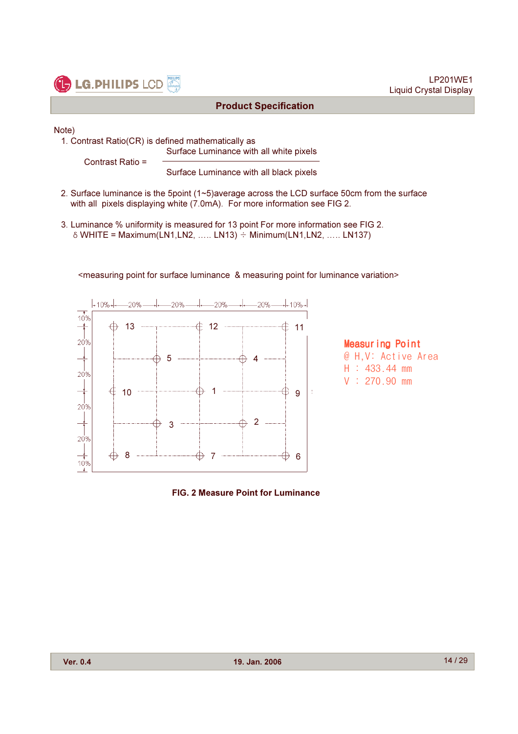

Note)

1. Contrast Ratio(CR) is defined mathematically as Surface Luminance with all white pixels

Contrast Ratio =

Surface Luminance with all black pixels

2. Surface luminance is the 5point (1~5)average across the LCD surface 50cm from the surface with all pixels displaying white (7.0mA). For more information see FIG 2.

<measuring point for surface luminance & measuring point for luminance variation>

3. Luminance % uniformity is measured for 13 point For more information see FIG 2.  $\delta$  WHITE = Maximum(LN1,LN2, ..... LN13)  $\div$  Minimum(LN1,LN2, ..... LN137)



**Measuring Point** @ H.V: Active Area  $H : 433.44$  mm  $V : 270.90$  mm

LP201WE1

Liquid Crystal Display

FIG. 2 Measure Point for Luminance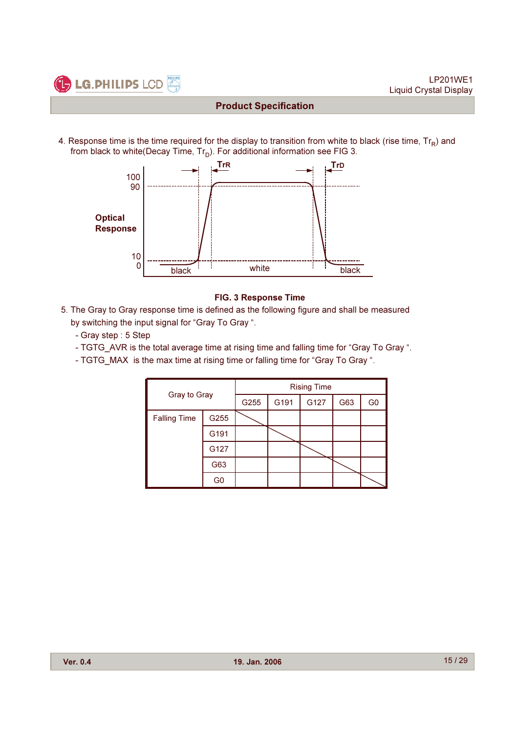

4. Response time is the time required for the display to transition from white to black (rise time,  $Tr_R$ ) and from black to white(Decay Time,  $Tr_D$ ). For additional information see FIG 3.



#### FIG. 3 Response Time

- 5. The Gray to Gray response time is defined as the following figure and shall be measured by switching the input signal for "Gray To Gray ".
	- Gray step : 5 Step
	- TGTG\_AVR is the total average time at rising time and falling time for "Gray To Gray ".
	- TGTG MAX is the max time at rising time or falling time for "Gray To Gray ".

|                     | Gray to Gray   |      |      | <b>Rising Time</b> |     |                |
|---------------------|----------------|------|------|--------------------|-----|----------------|
|                     |                | G255 | G191 | G127               | G63 | G <sub>0</sub> |
| <b>Falling Time</b> | G255           |      |      |                    |     |                |
|                     | G191           |      |      |                    |     |                |
|                     | G127           |      |      |                    |     |                |
|                     | G63            |      |      |                    |     |                |
|                     | G <sub>0</sub> |      |      |                    |     |                |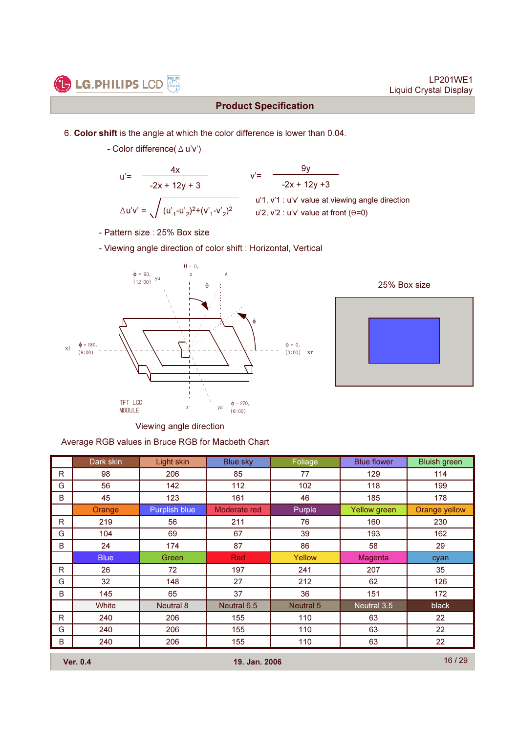

LP201WE1 Liquid Crystal Display

# Product Specification

- 6. Color shift is the angle at which the color difference is lower than 0.04.
	- Color difference( $\Delta$ u'v')

$$
u' = \frac{4x}{-2x + 12y + 3} \qquad v' = \sqrt{2x + 12y + 3}
$$
  

$$
\Delta u'v' = \sqrt{(u'_{1}-u'_{2})^2 + (v'_{1}-v'_{2})^2} \qquad u'
$$

-2x + 12y +3 9y u'1, v'1 : u'v' value at viewing angle direction

- $u'2$ ,  $v'2$  :  $u'v'$  value at front  $(\theta=0)$
- Pattern size : 25% Box size
- Viewing angle direction of color shift : Horizontal, Vertical





Viewing angle direction

Average RGB values in Bruce RGB for Macbeth Chart

|    | Dark skin    | Light skin       | <b>Blue sky</b> | Foliage          | <b>Blue flower</b> | <b>Bluish</b> green |
|----|--------------|------------------|-----------------|------------------|--------------------|---------------------|
| R. | 98           | 206              | 85              | 77               | 129                | 114                 |
| G  | 56           | 142              | 112             | 102              | 118                | 199                 |
| B  | 45           | 123              | 161             | 46               | 185                | 178                 |
|    | Orange       | Purplish blue    | Moderate red    | Purple           | Yellow green       | Orange yellow       |
| R. | 219          | 56               | 211             | 76               | 160                | 230                 |
| G  | 104          | 69               | 67              | 39               | 193                | 162                 |
| B  | 24           | 174              | 87              | 86               | 58                 | 29                  |
|    | <b>Blue</b>  | Green            | <b>Red</b>      | Yellow           | Magenta            | cyan                |
| R. | 26           | 72               | 197             | 241              | 207                | 35                  |
| G  | 32           | 148              | 27              | 212              | 62                 | 126                 |
| B  | 145          | 65               | 37              | 36               | 151                | 172                 |
|    | <b>White</b> | <b>Neutral 8</b> | Neutral 6.5     | <b>Neutral 5</b> | Neutral 3.5        | black               |
| R. | 240          | 206              | 155             | 110              | 63                 | 22                  |
| G  | 240          | 206              | 155             | 110              | 63                 | 22                  |
| B  | 240          | 206              | 155             | 110              | 63                 | 22                  |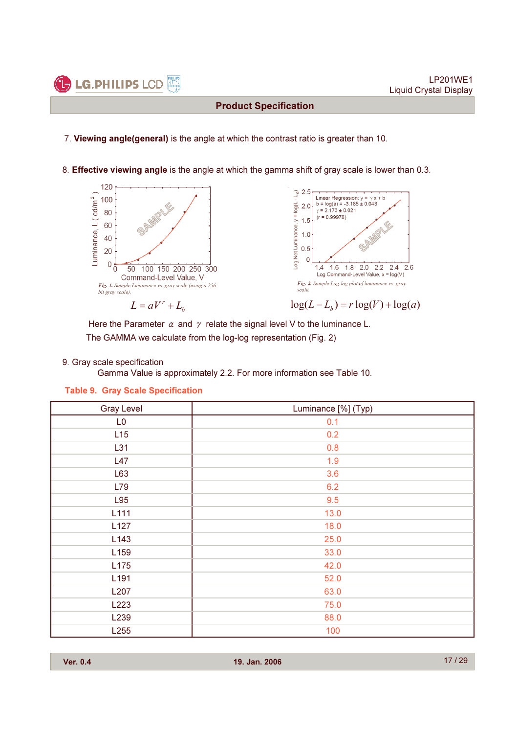7. Viewing angle(general) is the angle at which the contrast ratio is greater than 10.

8. Effective viewing angle is the angle at which the gamma shift of gray scale is lower than 0.3.



Here the Parameter  $\alpha$  and  $\gamma$  relate the signal level V to the luminance L. The GAMMA we calculate from the log-log representation (Fig. 2)

#### 9. Gray scale specification

**C** LG. PHILIPS LCD

Gamma Value is approximately 2.2. For more information see Table 10.

#### Table 9. Gray Scale Specification

| <b>Gray Level</b> | Luminance [%] (Typ) |
|-------------------|---------------------|
| L <sub>0</sub>    | 0.1                 |
| L15               | 0.2                 |
| L31               | 0.8                 |
| L47               | 1.9                 |
| L63               | 3.6                 |
| L79               | 6.2                 |
| L95               | 9.5                 |
| L111              | 13.0                |
| L127              | 18.0                |
| L143              | 25.0                |
| L159              | 33.0                |
| L175              | 42.0                |
| L191              | 52.0                |
| L207              | 63.0                |
| L223              | 75.0                |
| L <sub>239</sub>  | 88.0                |
| L255              | 100                 |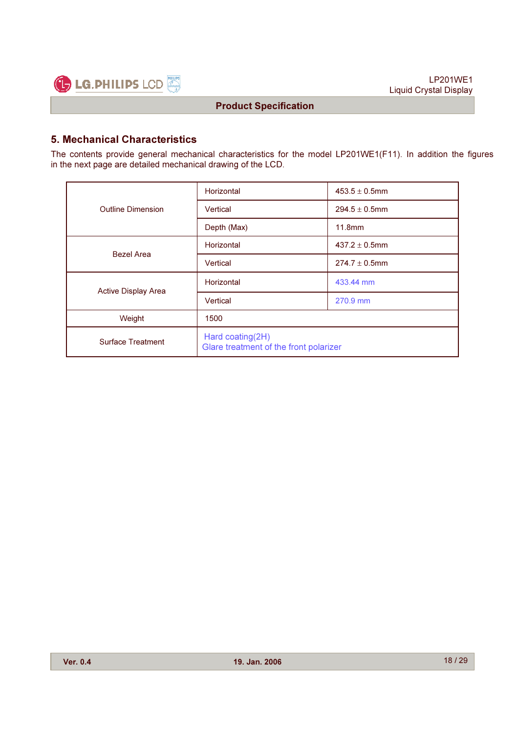

# 5. Mechanical Characteristics

The contents provide general mechanical characteristics for the model LP201WE1(F11). In addition the figures in the next page are detailed mechanical drawing of the LCD.

|                            | Horizontal                                                 | $453.5 \pm 0.5$ mm |  |  |  |
|----------------------------|------------------------------------------------------------|--------------------|--|--|--|
| <b>Outline Dimension</b>   | Vertical                                                   | $294.5 \pm 0.5$ mm |  |  |  |
|                            | Depth (Max)                                                | 11.8mm             |  |  |  |
| <b>Bezel Area</b>          | Horizontal                                                 | $437.2 \pm 0.5$ mm |  |  |  |
|                            | Vertical                                                   | $274.7 \pm 0.5$ mm |  |  |  |
| <b>Active Display Area</b> | Horizontal                                                 | 433.44 mm          |  |  |  |
|                            | Vertical                                                   | 270.9 mm           |  |  |  |
| Weight                     | 1500                                                       |                    |  |  |  |
| <b>Surface Treatment</b>   | Hard coating(2H)<br>Glare treatment of the front polarizer |                    |  |  |  |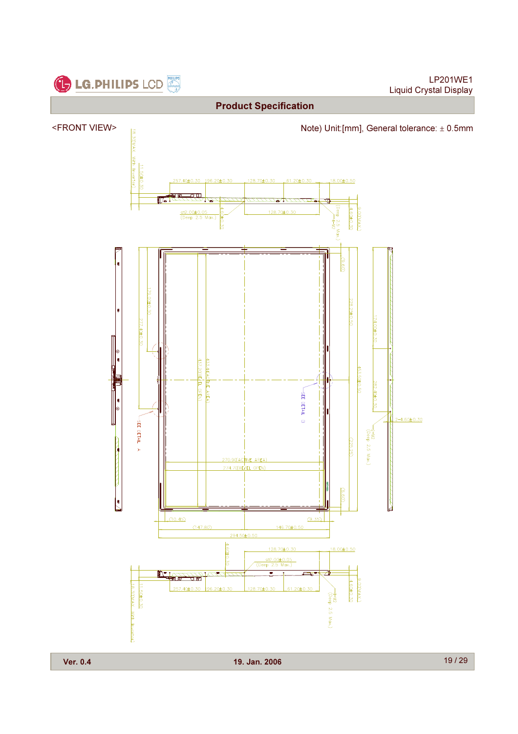

LP201WE1 Liquid Crystal Display



Ver. 0.4 19. Jan. 2006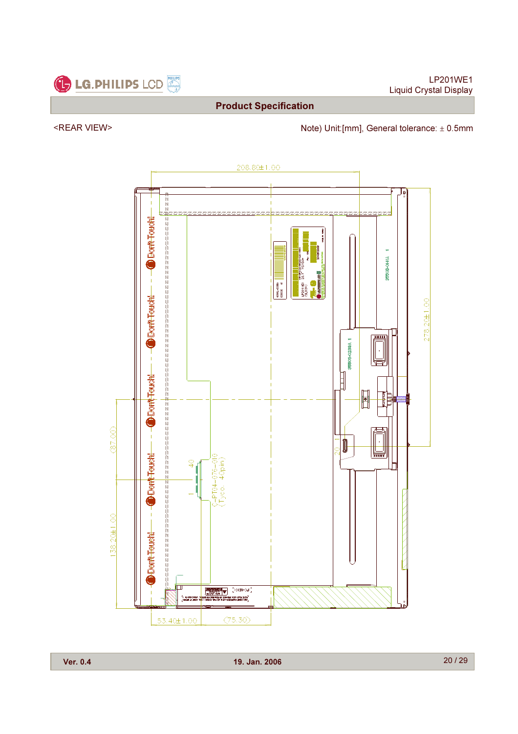

<REAR VIEW> Note) Unit:[mm], General tolerance: ± 0.5mm

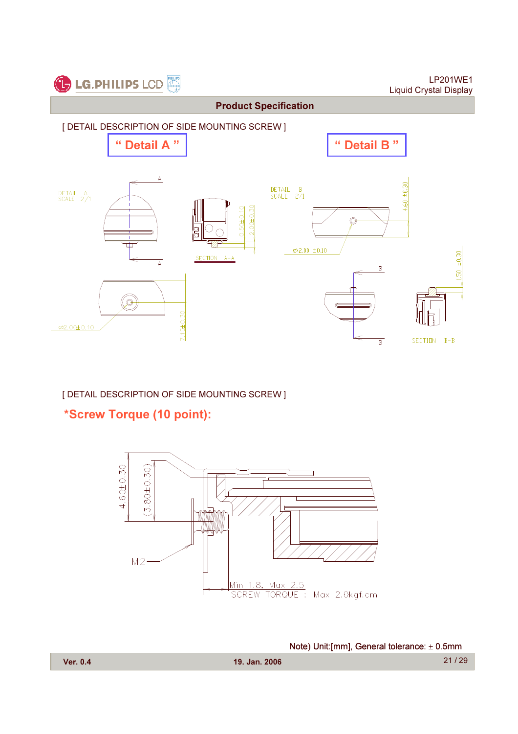

# [ DETAIL DESCRIPTION OF SIDE MOUNTING SCREW ]

\*Screw Torque (10 point):

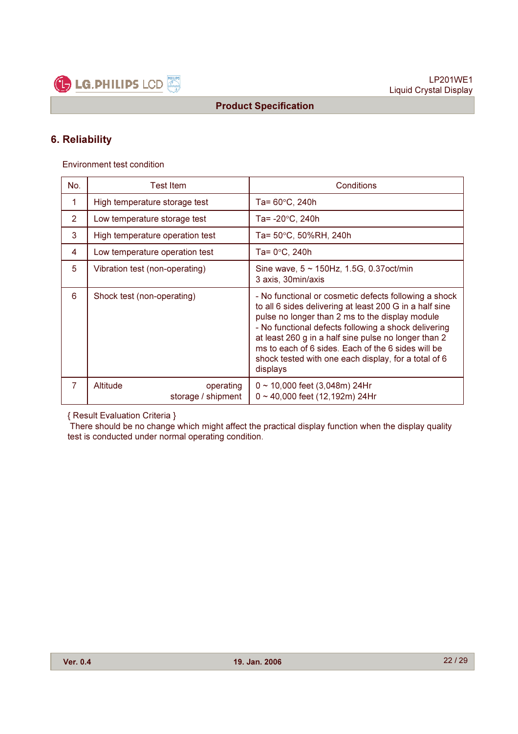

# 6. Reliability

Environment test condition

| No.            | <b>Test Item</b>                            | Conditions                                                                                                                                                                                                                                                                                                                                                                                                    |
|----------------|---------------------------------------------|---------------------------------------------------------------------------------------------------------------------------------------------------------------------------------------------------------------------------------------------------------------------------------------------------------------------------------------------------------------------------------------------------------------|
| 1              | High temperature storage test               | Ta= $60^{\circ}$ C, 240h                                                                                                                                                                                                                                                                                                                                                                                      |
| $\overline{2}$ | Low temperature storage test                | Ta= $-20^{\circ}$ C, 240h                                                                                                                                                                                                                                                                                                                                                                                     |
| 3              | High temperature operation test             | Ta= 50°C, 50%RH, 240h                                                                                                                                                                                                                                                                                                                                                                                         |
| 4              | Low temperature operation test              | Ta= 0°C, 240h                                                                                                                                                                                                                                                                                                                                                                                                 |
| 5              | Vibration test (non-operating)              | Sine wave, $5 \sim 150$ Hz, 1.5G, 0.37 oct/min<br>3 axis, 30min/axis                                                                                                                                                                                                                                                                                                                                          |
| 6              | Shock test (non-operating)                  | - No functional or cosmetic defects following a shock<br>to all 6 sides delivering at least 200 G in a half sine<br>pulse no longer than 2 ms to the display module<br>- No functional defects following a shock delivering<br>at least 260 g in a half sine pulse no longer than 2<br>ms to each of 6 sides. Each of the 6 sides will be<br>shock tested with one each display, for a total of 6<br>displays |
| $\overline{7}$ | Altitude<br>operating<br>storage / shipment | $0 \sim 10,000$ feet (3,048m) 24Hr<br>$0 \sim 40,000$ feet (12,192m) 24Hr                                                                                                                                                                                                                                                                                                                                     |

{ Result Evaluation Criteria }

There should be no change which might affect the practical display function when the display quality test is conducted under normal operating condition.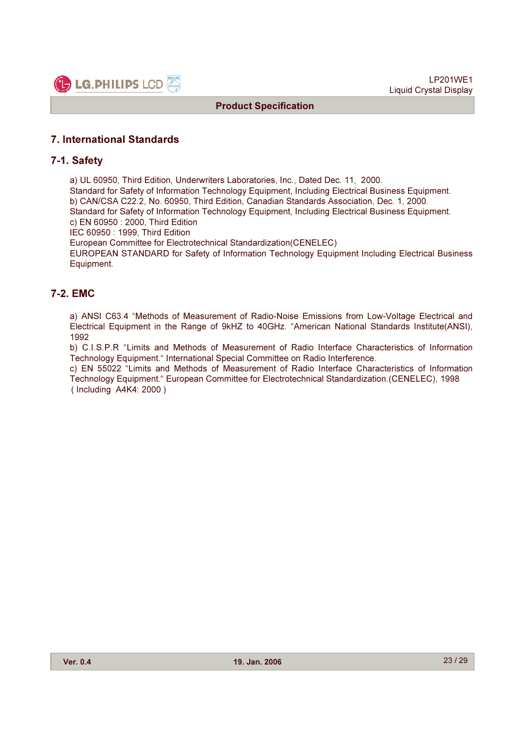

#### 7. International Standards

#### 7-1. Safety

a) UL 60950, Third Edition, Underwriters Laboratories, Inc., Dated Dec. 11, 2000.

Standard for Safety of Information Technology Equipment, Including Electrical Business Equipment. b) CAN/CSA C22.2, No. 60950, Third Edition, Canadian Standards Association, Dec. 1, 2000. Standard for Safety of Information Technology Equipment, Including Electrical Business Equipment.

c) EN 60950 : 2000, Third Edition

IEC 60950 : 1999, Third Edition

European Committee for Electrotechnical Standardization(CENELEC)

EUROPEAN STANDARD for Safety of Information Technology Equipment Including Electrical Business Equipment.

#### 7-2. EMC

a) ANSI C63.4 "Methods of Measurement of Radio-Noise Emissions from Low-Voltage Electrical and Electrical Equipment in the Range of 9kHZ to 40GHz. "American National Standards Institute(ANSI), 1992

b) C.I.S.P.R "Limits and Methods of Measurement of Radio Interface Characteristics of Information Technology Equipment." International Special Committee on Radio Interference.

c) EN 55022 "Limits and Methods of Measurement of Radio Interface Characteristics of Information Technology Equipment." European Committee for Electrotechnical Standardization.(CENELEC), 1998 ( Including A4K4: 2000 )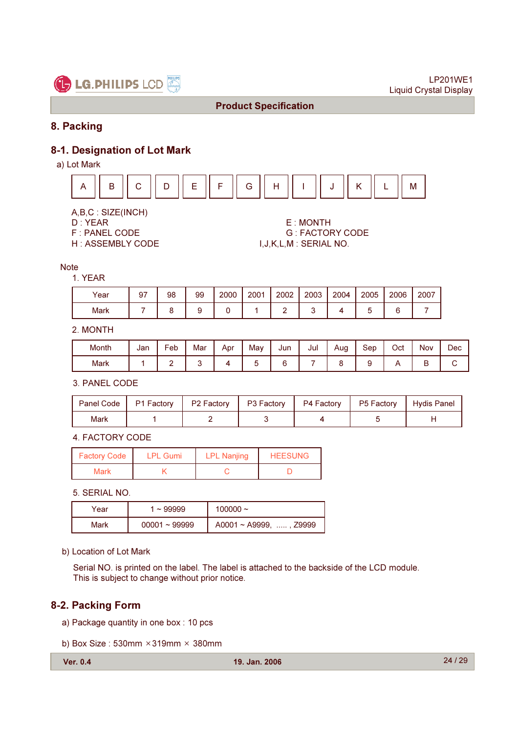

# 8. Packing

# 8-1. Designation of Lot Mark

a) Lot Mark



- A,B,C : SIZE(INCH)
- 
- 
- 

D : YEAR E : MONTH F : PANEL CODE G : FACTORY CODE<br>H : ASSEMBLY CODE G G GET GALL M : SERIAL NO. I, J, K, L, M : SERIAL NO.

#### **Note**

#### 1. YEAR

| Year | 97 | 98 | 99 | 2000 | 2001 | 2002 | 2003 | 2004 | 2005 | 2006 | 2007 |
|------|----|----|----|------|------|------|------|------|------|------|------|
| Mark |    |    |    |      |      |      |      |      |      | ∼    |      |

#### 2. MONTH

| Month | Jan | Feb | Mar | Apr | May | Jun | Jul | Aug | Sep | Oct | <b>Nov</b> | Dec |
|-------|-----|-----|-----|-----|-----|-----|-----|-----|-----|-----|------------|-----|
| Mark  |     |     |     |     | ı   |     |     |     |     |     | ⋍          |     |

3. PANEL CODE

| Panel Code | P1 Factory | P2 Factory | P3 Factory | P4 Factory | $\vert$ P5 Factory | <sup>1</sup> Hydis Panel |
|------------|------------|------------|------------|------------|--------------------|--------------------------|
| Mark       |            |            |            |            |                    |                          |

4. FACTORY CODE

| <b>Factory Code</b> | <b>LPL Gumi</b> | <b>LPL Nanjing</b> | <b>HEESUNG</b> |
|---------------------|-----------------|--------------------|----------------|
| <b>Mark</b>         |                 |                    |                |

#### 5. SERIAL NO.

| Year | $~1$ 99999      | 100000 $\sim$                |
|------|-----------------|------------------------------|
| Mark | $00001 - 99999$ | $A0001 \sim A9999$ , , Z9999 |

b) Location of Lot Mark

Serial NO. is printed on the label. The label is attached to the backside of the LCD module. This is subject to change without prior notice.

#### 8-2. Packing Form

- a) Package quantity in one box : 10 pcs
- b) Box Size:  $530$ mm  $\times$  319mm  $\times$  380mm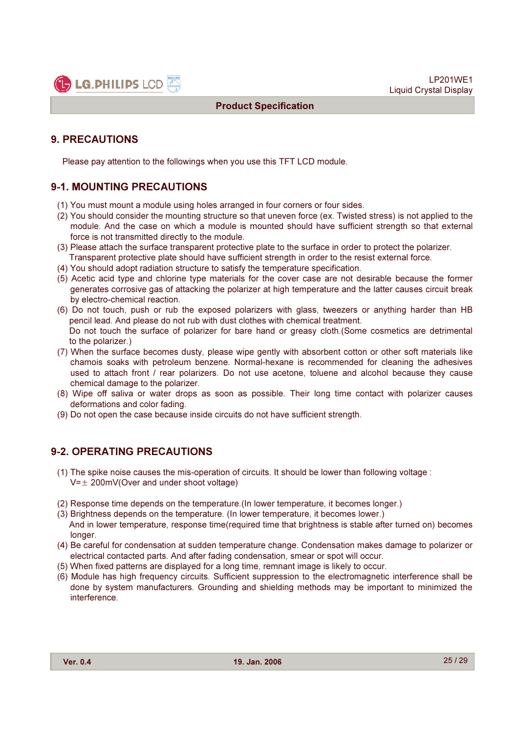

# 9. PRECAUTIONS

Please pay attention to the followings when you use this TFT LCD module.

# 9-1. MOUNTING PRECAUTIONS

- (1) You must mount a module using holes arranged in four corners or four sides.
- (2) You should consider the mounting structure so that uneven force (ex. Twisted stress) is not applied to the module. And the case on which a module is mounted should have sufficient strength so that external force is not transmitted directly to the module.
- (3) Please attach the surface transparent protective plate to the surface in order to protect the polarizer. Transparent protective plate should have sufficient strength in order to the resist external force.
- (4) You should adopt radiation structure to satisfy the temperature specification.
- (5) Acetic acid type and chlorine type materials for the cover case are not desirable because the former generates corrosive gas of attacking the polarizer at high temperature and the latter causes circuit break by electro-chemical reaction.
- (6) Do not touch, push or rub the exposed polarizers with glass, tweezers or anything harder than HB pencil lead. And please do not rub with dust clothes with chemical treatment. Do not touch the surface of polarizer for bare hand or greasy cloth.(Some cosmetics are detrimental to the polarizer.)
- (7) When the surface becomes dusty, please wipe gently with absorbent cotton or other soft materials like chamois soaks with petroleum benzene. Normal-hexane is recommended for cleaning the adhesives used to attach front / rear polarizers. Do not use acetone, toluene and alcohol because they cause chemical damage to the polarizer.
- (8) Wipe off saliva or water drops as soon as possible. Their long time contact with polarizer causes deformations and color fading.
- (9) Do not open the case because inside circuits do not have sufficient strength.

# 9-2. OPERATING PRECAUTIONS

- (1) The spike noise causes the mis-operation of circuits. It should be lower than following voltage :  $V=\pm 200$ mV(Over and under shoot voltage)
- (2) Response time depends on the temperature.(In lower temperature, it becomes longer.)
- (3) Brightness depends on the temperature. (In lower temperature, it becomes lower.) And in lower temperature, response time(required time that brightness is stable after turned on) becomes longer.
- (4) Be careful for condensation at sudden temperature change. Condensation makes damage to polarizer or electrical contacted parts. And after fading condensation, smear or spot will occur.
- (5) When fixed patterns are displayed for a long time, remnant image is likely to occur.
- (6) Module has high frequency circuits. Sufficient suppression to the electromagnetic interference shall be done by system manufacturers. Grounding and shielding methods may be important to minimized the interference.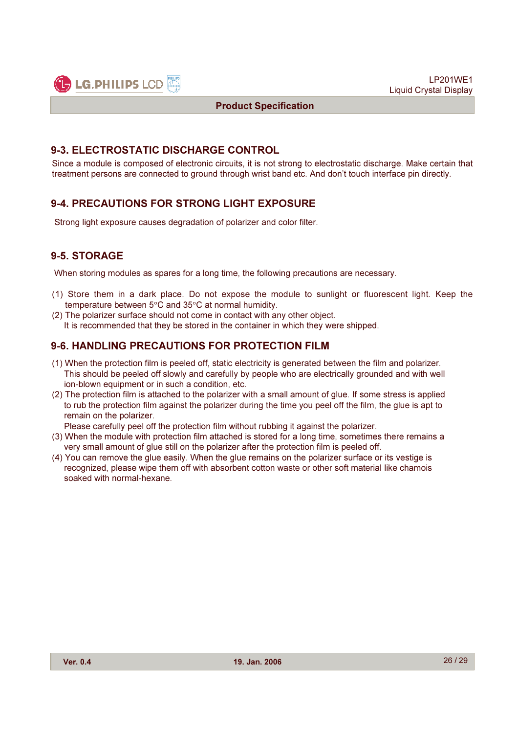

#### 9-3. ELECTROSTATIC DISCHARGE CONTROL

Since a module is composed of electronic circuits, it is not strong to electrostatic discharge. Make certain that treatment persons are connected to ground through wrist band etc. And don't touch interface pin directly.

#### 9-4. PRECAUTIONS FOR STRONG LIGHT EXPOSURE

Strong light exposure causes degradation of polarizer and color filter.

# 9-5. STORAGE

When storing modules as spares for a long time, the following precautions are necessary.

- (1) Store them in a dark place. Do not expose the module to sunlight or fluorescent light. Keep the temperature between 5°C and 35°C at normal humidity.
- (2) The polarizer surface should not come in contact with any other object. It is recommended that they be stored in the container in which they were shipped.

#### 9-6. HANDLING PRECAUTIONS FOR PROTECTION FILM

- (1) When the protection film is peeled off, static electricity is generated between the film and polarizer. This should be peeled off slowly and carefully by people who are electrically grounded and with well ion-blown equipment or in such a condition, etc.
- (2) The protection film is attached to the polarizer with a small amount of glue. If some stress is applied to rub the protection film against the polarizer during the time you peel off the film, the glue is apt to remain on the polarizer.

Please carefully peel off the protection film without rubbing it against the polarizer.

- (3) When the module with protection film attached is stored for a long time, sometimes there remains a very small amount of glue still on the polarizer after the protection film is peeled off.
- (4) You can remove the glue easily. When the glue remains on the polarizer surface or its vestige is recognized, please wipe them off with absorbent cotton waste or other soft material like chamois soaked with normal-hexane.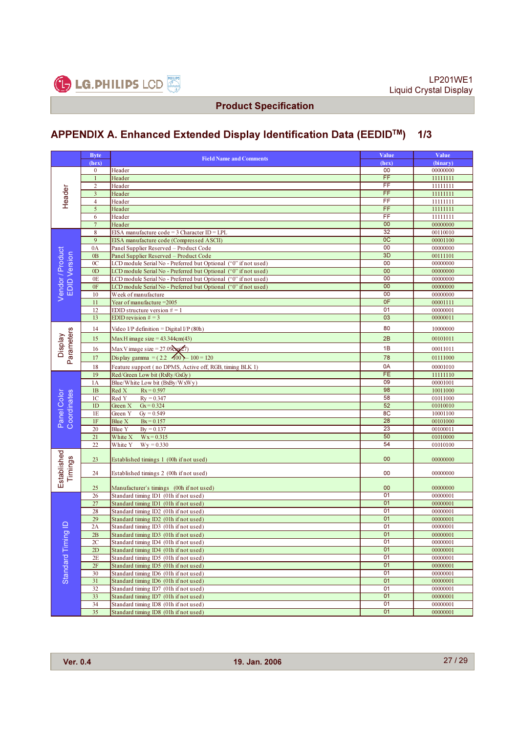

# APPENDIX A. Enhanced Extended Display Identification Data (EEDIDTM) 1/3

|                                         | <b>Byte</b>     |                                                                                        | Value           | Value                |
|-----------------------------------------|-----------------|----------------------------------------------------------------------------------------|-----------------|----------------------|
| Header                                  | (hex)           | <b>Field Name and Comments</b>                                                         | (hex)           | (binary)             |
|                                         | $\bf{0}$        | Header                                                                                 | 00              | 00000000             |
|                                         | $\mathbf{1}$    | Header                                                                                 | FF              | 11111111             |
|                                         | $\overline{2}$  | Header                                                                                 | FF              | 11111111             |
|                                         | $\overline{3}$  | Header                                                                                 | $\overline{FF}$ | 11111111             |
|                                         | $\overline{4}$  | Header                                                                                 | $\overline{FF}$ | 11111111             |
|                                         | 5               | Header                                                                                 | $\overline{FF}$ | 11111111             |
|                                         | 6               | Header                                                                                 | FF              | 11111111             |
|                                         | $\overline{7}$  | Header                                                                                 | 00              | 00000000             |
|                                         | 8               | EISA manufacture code = $3$ Character ID = LPL                                         | 32              | 00110010             |
|                                         | 9               | EISA manufacture code (Compressed ASCII)                                               | <sub>0</sub> C  | 00001100             |
|                                         | 0A              | Panel Supplier Reserved - Product Code                                                 | 00              | 00000000             |
| Vendor / Product<br><b>EDID</b> Version | 0B              | Panel Supplier Reserved - Product Code                                                 | 3D<br>00        | 00111101             |
|                                         | 0 <sup>C</sup>  | LCD module Serial No - Preferred but Optional ("0" if not used)                        | 00              | 00000000             |
|                                         | 0 <sub>D</sub>  | LCD module Serial No - Preferred but Optional ("0" if not used)                        | 00              | 00000000             |
|                                         | 0E<br>0F        | LCD module Serial No - Preferred but Optional ("0" if not used)                        | 00              | 00000000             |
|                                         | 10              | LCD module Serial No - Preferred but Optional ("0" if not used)<br>Week of manufacture | 00              | 00000000<br>00000000 |
|                                         | 11              | Year of manufacture $=2005$                                                            | 0F              | 00001111             |
|                                         | 12              | EDID structure version $# = 1$                                                         | 01              | 00000001             |
|                                         | 13              | EDID revision $# = 3$                                                                  | 03              | 00000011             |
|                                         |                 |                                                                                        |                 |                      |
|                                         | 14              | Video I/P definition = Digital I/P $(80h)$                                             | 80              | 10000000             |
|                                         | 15              | Max H image size = $43.344cm(43)$                                                      | 2B              | 00101011             |
| Parameters<br><b>Display</b>            | 16              | Max V image size = $27.09$ cm $(27)$                                                   | 1B              | 00011011             |
|                                         | 17              | Display gamma = $(2.2 \quad 100) - 100 = 120$                                          | 78              | 01111000             |
|                                         | 18              | Feature support (no DPMS, Active off, RGB, timing BLK 1)                               | 0A              | 00001010             |
|                                         | 19              | Red/Green Low bit (RxRy/GxGy)                                                          | FE              | 11111110             |
|                                         | 1A              | Blue/White Low bit (BxBy/WxWy)                                                         | 09              | 00001001             |
|                                         | 1B              | Red X<br>$Rx = 0.597$                                                                  | 98              | 10011000             |
|                                         | 1 <sup>C</sup>  | Red Y<br>$Ry = 0.347$                                                                  | 58              | 01011000             |
|                                         | 1D              | Green X<br>$Gx = 0.324$                                                                | 52              | 01010010             |
|                                         | 1E              | $Gy = 0.549$<br>Green Y                                                                | 8C              | 10001100             |
| Panel Color<br>Coordinates              | $1\mathrm{F}$   | Blue X<br>$Bx = 0.157$                                                                 | 28              | 00101000             |
|                                         | 20              | $By = 0.137$<br>Blue Y                                                                 | 23              | 00100011             |
|                                         | 21              | $Wx = 0.315$<br>White X                                                                | 50              | 01010000             |
|                                         | $\overline{22}$ | $Wy = 0.330$<br>White Y                                                                | 54              | 01010100             |
| stablished                              | 23              | Established timings 1 (00h if not used)                                                | 00              | 00000000             |
| Timings                                 | 24              | Established timings 2 (00h if not used)                                                | 00              | 00000000             |
| ш                                       |                 |                                                                                        | 00              |                      |
|                                         | 25<br>26        | Manufacturer's timings (00h if not used)<br>Standard timing ID1 (01h if not used)      | 01              | 00000000<br>00000001 |
|                                         | 27              | Standard timing ID1 (01h if not used)                                                  | 01              | 00000001             |
|                                         | 28              | Standard timing ID2 (01h if not used)                                                  | 01              | 00000001             |
|                                         | 29              | Standard timing ID2 (01h if not used)                                                  | 01              | 00000001             |
|                                         | 2A              | Standard timing ID3 (01h if not used)                                                  | 01              | 00000001             |
| lging                                   | 2B              | Standard timing ID3 (01h if not used)                                                  | 01              | 00000001             |
|                                         | 2C              | Standard timing ID4 (01h if not used)                                                  | 01              | 00000001             |
|                                         | 2D              | Standard timing ID4 (01h if not used)                                                  | 01              | 00000001             |
| Standard Tim                            | 2E              | Standard timing ID5 (01h if not used)                                                  | 01              | 00000001             |
|                                         | 2F              | Standard timing ID5 (01h if not used)                                                  | 01              | 00000001             |
|                                         | 30              | Standard timing ID6 (01h if not used)                                                  | 01              | 00000001             |
|                                         | 31              | Standard timing ID6 (01h if not used)                                                  | 01              | 00000001             |
|                                         | 32              | Standard timing ID7 (01h if not used)                                                  | 01              | 00000001             |
|                                         | 33              | Standard timing ID7 (01h if not used)                                                  | 01              | 00000001             |
|                                         | 34              | Standard timing ID8 (01h if not used)                                                  | 01              | 00000001             |
|                                         | 35              | Standard timing ID8 (01h if not used)                                                  | 01              | 00000001             |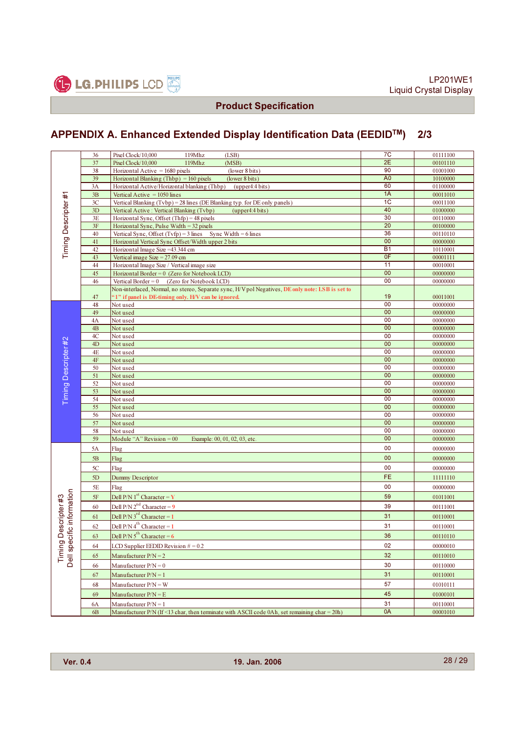

# APPENDIX A. Enhanced Extended Display Identification Data (EEDIDTM) 2/3

| Timing Descripter#1                 | 36       | Pixel Clock/10,000<br>119Mhz<br>(LSB)                                                            | 7C                    | 01111100             |
|-------------------------------------|----------|--------------------------------------------------------------------------------------------------|-----------------------|----------------------|
|                                     | 37       | Pixel Clock/10,000<br>119Mhz<br>(MSB)                                                            | 2E                    | 00101110             |
|                                     | 38       | Horizontal Active $= 1680$ pixels<br>(lower 8 bits)                                              | 90                    | 01001000             |
|                                     | 39       | Horizontal Blanking (Thbp) = $160$ pixels<br>(lower 8 bits)                                      | A <sub>0</sub>        | 10100000             |
|                                     | 3A       | Horizontal Active/Horizontal blanking (Thbp) (upper4:4 bits)                                     | 60                    | 01100000             |
|                                     | 3B       | Vertical Active = $1050$ lines                                                                   | 1A                    | 00011010             |
|                                     | 3C       | Vertical Blanking (Tvbp) = 28 lines (DE Blanking typ. for DE only panels)                        | 1 <sub>C</sub>        | 00011100             |
|                                     | 3D       | Vertical Active : Vertical Blanking (Tvbp)<br>(upper4:4 bits)                                    | 40                    | 01000000             |
|                                     | 3E       | Horizontal Sync, Offset $(Thfp) = 48$ pixels                                                     | 30                    | 00110000             |
|                                     | 3F       | Horizontal Sync, Pulse Width = $32$ pixels                                                       | 20                    | 00100000             |
|                                     | 40       | Vertical Sync, Offset $(Tvfp) = 3$ lines Sync Width = 6 lines                                    | 36                    | 00110110             |
|                                     | 41       | Horizontal Vertical Sync Offset/Width upper 2 bits                                               | 00                    | 00000000             |
|                                     | 42       | Horizontal Image Size = 43.344 cm                                                                | <b>B1</b>             | 10110001             |
|                                     | 43       | Vertical image Size = $27.09$ cm                                                                 | OF                    | 00001111             |
|                                     | 44       | Horizontal Image Size / Vertical image size                                                      | 11                    | 00010001             |
|                                     | 45       | Horizontal Border = $0$ (Zero for Notebook LCD)                                                  | 00                    | 00000000             |
|                                     | 46       | Vertical Border = $0$ (Zero for Notebook LCD)                                                    | 00                    | 00000000             |
|                                     |          | Non-interlaced, Normal, no stereo, Separate sync, H/V pol Negatives, DE only note: LSB is set to |                       |                      |
|                                     | 47       | "1" if panel is DE-timing only. H/V can be ignored.                                              | 19                    | 00011001             |
|                                     | 48       | Not used                                                                                         | 00                    | 00000000             |
|                                     | 49       | Not used                                                                                         | 00                    | 00000000             |
|                                     | 4A       | Not used                                                                                         | 00                    | 00000000             |
|                                     | 4B       | Not used                                                                                         | 00                    | 00000000             |
|                                     | 4C       | Not used                                                                                         | 00                    | 00000000             |
| Timing Descripter #2                | 4D       | Not used                                                                                         | 00                    | 00000000             |
|                                     | 4E       | Not used                                                                                         | 00                    | 00000000             |
|                                     | $4F$     | Not used                                                                                         | 00                    | 00000000             |
|                                     | 50       | Not used                                                                                         | 00<br>$\overline{00}$ | 00000000             |
|                                     | 51       | Not used                                                                                         | $\overline{00}$       | 00000000             |
|                                     | 52       | Not used                                                                                         | $\overline{00}$       | 00000000             |
|                                     | 53       | Not used                                                                                         | $\overline{00}$       | 00000000             |
|                                     | 54<br>55 | Not used<br>Not used                                                                             | 00                    | 00000000<br>00000000 |
|                                     | 56       | Not used                                                                                         | 00                    | 00000000             |
|                                     | 57       | Not used                                                                                         | 00                    | 00000000             |
|                                     | 58       | Not used                                                                                         | 00                    | 00000000             |
|                                     | 59       | Module "A" Revision $= 00$<br>Example: 00, 01, 02, 03, etc.                                      | 00                    | 00000000             |
|                                     | 5A       |                                                                                                  | 00                    |                      |
|                                     |          | Flag                                                                                             | 00                    | 00000000             |
|                                     | $5B$     | Flag                                                                                             | 00                    | 00000000             |
|                                     | 5C       | Flag                                                                                             | FE                    | 00000000             |
|                                     | 5D       | Dummy Descriptor                                                                                 |                       | 11111110             |
|                                     | 5E       | Flag                                                                                             | 00                    | 00000000             |
|                                     | 5F       | Dell P/N 1 <sup>st</sup> Character = $\mathbf{Y}$                                                | 59                    | 01011001             |
|                                     | 60       | Dell P/N $2^{nd}$ Character = 9                                                                  | 39                    | 00111001             |
| Descripter #3                       | 61       | Dell P/N $3^{rd}$ Character = 1                                                                  | 31                    | 00110001             |
|                                     | 62       | Dell $P/N$ 4 <sup>th</sup> Character = 1                                                         | 31                    | 00110001             |
|                                     | 63       | Dell P/N $5^{th}$ Character = 6                                                                  | 36                    | 00110110             |
|                                     | 64       | LCD Supplier EEDID Revision $\# = 0.2$                                                           | 02                    | 00000010             |
| Dell specific information<br>Timing | 65       | Manufacturer $P/N = 2$                                                                           | 32                    | 00110010             |
|                                     | 66       | Manufacturer $P/N = 0$                                                                           | 30                    | 00110000             |
|                                     | 67       | Manufacturer $P/N = 1$                                                                           | 31                    | 00110001             |
|                                     | 68       | Manufacturer $P/N = W$                                                                           | 57                    | 01010111             |
|                                     | 69       | Manufacturer $P/N = E$                                                                           | 45                    | 01000101             |
|                                     | 6A       | Manufacturer $P/N = 1$                                                                           | 31                    | 00110001             |
|                                     | 6B       | Manufacturer $P/N$ (If <13 char, then terminate with ASCII code 0Ah, set remaining char = 20h)   | 0A                    | 00001010             |